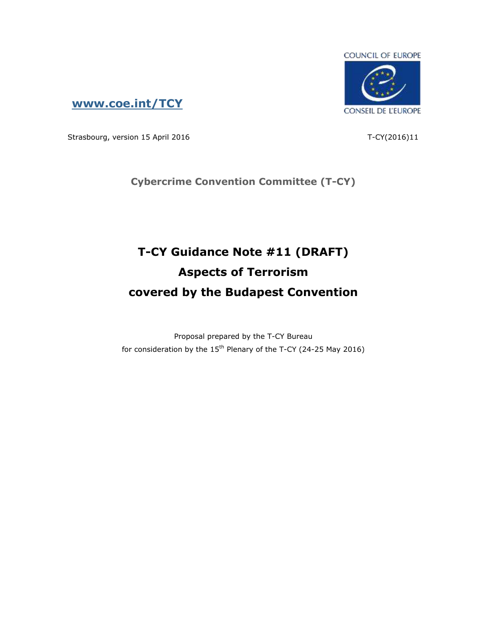

**[www.coe.int/TCY](http://www.coe.int/TCY)**

Strasbourg, version 15 April 2016 T-CY(2016)11

**Cybercrime Convention Committee (T-CY)**

# **T-CY Guidance Note #11 (DRAFT) Aspects of Terrorism covered by the Budapest Convention**

Proposal prepared by the T-CY Bureau for consideration by the  $15<sup>th</sup>$  Plenary of the T-CY (24-25 May 2016)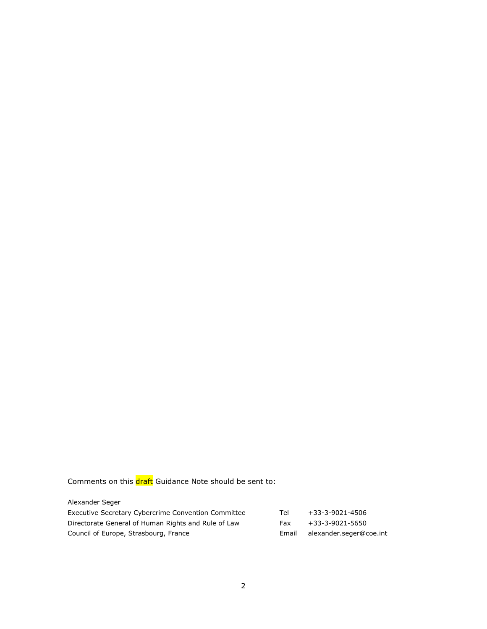## Comments on this draft Guidance Note should be sent to:

| Alexander Seger |  |
|-----------------|--|

| Executive Secretary Cybercrime Convention Committee | Tel   | +33-3-9021-4506         |
|-----------------------------------------------------|-------|-------------------------|
| Directorate General of Human Rights and Rule of Law | Fax   | +33-3-9021-5650         |
| Council of Europe, Strasbourg, France               | Email | alexander.seger@coe.int |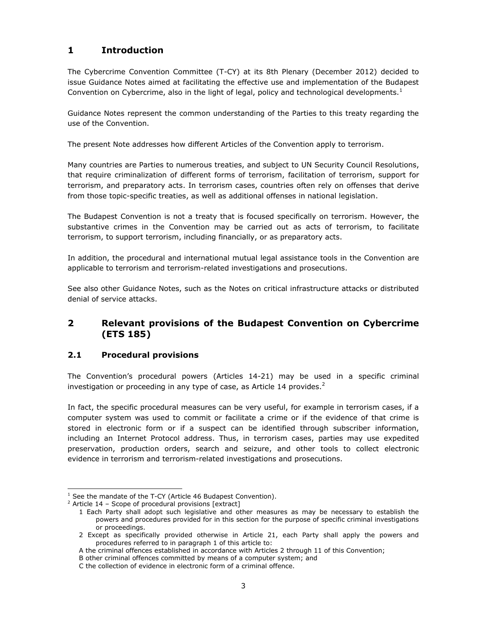### **1 Introduction**

The Cybercrime Convention Committee (T-CY) at its 8th Plenary (December 2012) decided to issue Guidance Notes aimed at facilitating the effective use and implementation of the Budapest Convention on Cybercrime, also in the light of legal, policy and technological developments.<sup>1</sup>

Guidance Notes represent the common understanding of the Parties to this treaty regarding the use of the Convention.

The present Note addresses how different Articles of the Convention apply to terrorism.

Many countries are Parties to numerous treaties, and subject to UN Security Council Resolutions, that require criminalization of different forms of terrorism, facilitation of terrorism, support for terrorism, and preparatory acts. In terrorism cases, countries often rely on offenses that derive from those topic-specific treaties, as well as additional offenses in national legislation.

The Budapest Convention is not a treaty that is focused specifically on terrorism. However, the substantive crimes in the Convention may be carried out as acts of terrorism, to facilitate terrorism, to support terrorism, including financially, or as preparatory acts.

In addition, the procedural and international mutual legal assistance tools in the Convention are applicable to terrorism and terrorism-related investigations and prosecutions.

See also other Guidance Notes, such as the Notes on critical infrastructure attacks or distributed denial of service attacks.

#### **2 Relevant provisions of the Budapest Convention on Cybercrime (ETS 185)**

#### **2.1 Procedural provisions**

i<br>I

The Convention's procedural powers (Articles 14-21) may be used in a specific criminal investigation or proceeding in any type of case, as Article 14 provides. $2$ 

In fact, the specific procedural measures can be very useful, for example in terrorism cases, if a computer system was used to commit or facilitate a crime or if the evidence of that crime is stored in electronic form or if a suspect can be identified through subscriber information, including an Internet Protocol address. Thus, in terrorism cases, parties may use expedited preservation, production orders, search and seizure, and other tools to collect electronic evidence in terrorism and terrorism-related investigations and prosecutions.

 $1$  See the mandate of the T-CY (Article 46 Budapest Convention).

 $2$  Article 14 – Scope of procedural provisions [extract]

<sup>1</sup> Each Party shall adopt such legislative and other measures as may be necessary to establish the powers and procedures provided for in this section for the purpose of specific criminal investigations or proceedings.

<sup>2</sup> Except as specifically provided otherwise in Article 21, each Party shall apply the powers and procedures referred to in paragraph 1 of this article to:

A the criminal offences established in accordance with Articles 2 through 11 of this Convention;

B other criminal offences committed by means of a computer system; and

C the collection of evidence in electronic form of a criminal offence.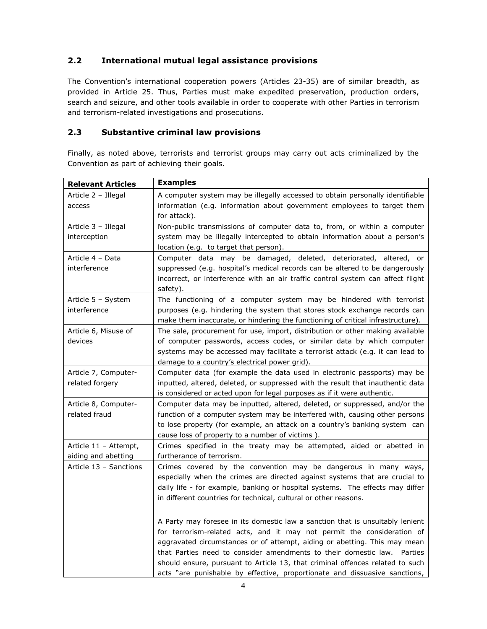#### **2.2 International mutual legal assistance provisions**

The Convention's international cooperation powers (Articles 23-35) are of similar breadth, as provided in Article 25. Thus, Parties must make expedited preservation, production orders, search and seizure, and other tools available in order to cooperate with other Parties in terrorism and terrorism-related investigations and prosecutions.

#### **2.3 Substantive criminal law provisions**

Finally, as noted above, terrorists and terrorist groups may carry out acts criminalized by the Convention as part of achieving their goals.

| <b>Relevant Articles</b>                     | <b>Examples</b>                                                                                                                                                                                                                                                                                                                                                                                                                                                                |
|----------------------------------------------|--------------------------------------------------------------------------------------------------------------------------------------------------------------------------------------------------------------------------------------------------------------------------------------------------------------------------------------------------------------------------------------------------------------------------------------------------------------------------------|
| Article 2 - Illegal<br>access                | A computer system may be illegally accessed to obtain personally identifiable<br>information (e.g. information about government employees to target them<br>for attack).                                                                                                                                                                                                                                                                                                       |
| Article 3 - Illegal<br>interception          | Non-public transmissions of computer data to, from, or within a computer<br>system may be illegally intercepted to obtain information about a person's<br>location (e.g. to target that person).                                                                                                                                                                                                                                                                               |
| Article 4 - Data<br>interference             | Computer data may be damaged, deleted, deteriorated, altered, or<br>suppressed (e.g. hospital's medical records can be altered to be dangerously<br>incorrect, or interference with an air traffic control system can affect flight<br>safety).                                                                                                                                                                                                                                |
| Article 5 - System<br>interference           | The functioning of a computer system may be hindered with terrorist<br>purposes (e.g. hindering the system that stores stock exchange records can<br>make them inaccurate, or hindering the functioning of critical infrastructure).                                                                                                                                                                                                                                           |
| Article 6, Misuse of<br>devices              | The sale, procurement for use, import, distribution or other making available<br>of computer passwords, access codes, or similar data by which computer<br>systems may be accessed may facilitate a terrorist attack (e.g. it can lead to<br>damage to a country's electrical power grid).                                                                                                                                                                                     |
| Article 7, Computer-<br>related forgery      | Computer data (for example the data used in electronic passports) may be<br>inputted, altered, deleted, or suppressed with the result that inauthentic data<br>is considered or acted upon for legal purposes as if it were authentic.                                                                                                                                                                                                                                         |
| Article 8, Computer-<br>related fraud        | Computer data may be inputted, altered, deleted, or suppressed, and/or the<br>function of a computer system may be interfered with, causing other persons<br>to lose property (for example, an attack on a country's banking system can<br>cause loss of property to a number of victims).                                                                                                                                                                                     |
| Article 11 - Attempt,<br>aiding and abetting | Crimes specified in the treaty may be attempted, aided or abetted in<br>furtherance of terrorism.                                                                                                                                                                                                                                                                                                                                                                              |
| Article 13 - Sanctions                       | Crimes covered by the convention may be dangerous in many ways,<br>especially when the crimes are directed against systems that are crucial to<br>daily life - for example, banking or hospital systems. The effects may differ<br>in different countries for technical, cultural or other reasons.                                                                                                                                                                            |
|                                              | A Party may foresee in its domestic law a sanction that is unsuitably lenient<br>for terrorism-related acts, and it may not permit the consideration of<br>aggravated circumstances or of attempt, aiding or abetting. This may mean<br>that Parties need to consider amendments to their domestic law. Parties<br>should ensure, pursuant to Article 13, that criminal offences related to such<br>acts "are punishable by effective, proportionate and dissuasive sanctions, |